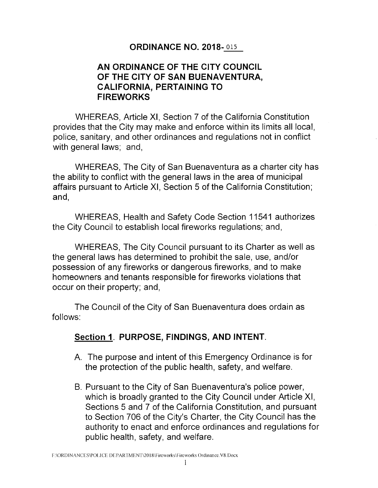### **ORDINANCE NO. 2018-** 01s

### **AN ORDINANCE OF THE CITY COUNCIL OF THE CITY OF SAN BUENAVENTURA, CALIFORNIA, PERTAINING TO FIREWORKS**

WHEREAS, Article XI, Section 7 of the California Constitution provides that the City may make and enforce within its limits all local, police, sanitary, and other ordinances and regulations not in conflict with general laws; and,

WHEREAS, The City of San Buenaventura as a charter city has the ability to conflict with the general laws in the area of municipal affairs pursuant to Article XI, Section 5 of the California Constitution; and,

WHEREAS, Health and Safety Code Section 11541 authorizes the City Council to establish local fireworks regulations; and,

WHEREAS, The City Council pursuant to its Charter as well as the general laws has determined to prohibit the sale, use, and/or possession of any fireworks or dangerous fireworks, and to make homeowners and tenants responsible for fireworks violations that occur on their property; and,

The Council of the City of San Buenaventura does ordain as follows:

# **Section 1. PURPOSE, FINDINGS, AND INTENT.**

- A. The purpose and intent of this Emergency Ordinance is for the protection of the public health, safety, and welfare.
- B. Pursuant to the City of San Buenaventura's police power, which is broadly granted to the City Council under Article XI, Sections 5 and 7 of the California Constitution, and pursuant to Section 706 of the City's Charter, the City Council has the authority to enact and enforce ordinances and regulations for public health, safety, and welfare.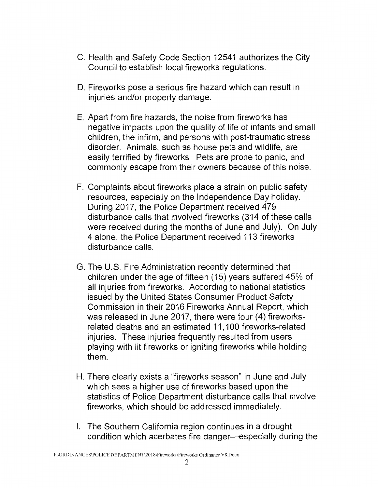- C. Health and Safety Code Section 12541 authorizes the City Council to establish local fireworks regulations.
- D. Fireworks pose a serious fire hazard which can result in injuries and/or property damage.
- E. Apart from fire hazards, the noise from fireworks has negative impacts upon the quality of life of infants and small children, the infirm, and persons with post-traumatic stress disorder. Animals, such as house pets and wildlife, are easily terrified by fireworks. Pets are prone to panic, and commonly escape from their owners because of this noise.
- F. Complaints about fireworks place a strain on public safety resources, especially on the Independence Day holiday. During 2017, the Police Department received 479 disturbance calls that involved fireworks (314 of these calls were received during the months of June and July). On July 4 alone, the Police Department received 113 fireworks disturbance calls.
- G. The U.S. Fire Administration recently determined that children under the age of fifteen (15) years suffered 45% of all injuries from fireworks. According to national statistics issued by the United States Consumer Product Safety Commission in their 2016 Fireworks Annual Report, which was released in June 2017, there were four (4) fireworksrelated deaths and an estimated 11, 100 fireworks-related injuries. These injuries frequently resulted from users playing with lit fireworks or igniting fireworks while holding them.
- H. There clearly exists a "fireworks season" in June and July which sees a higher use of fireworks based upon the statistics of Police Department disturbance calls that involve fireworks, which should be addressed immediately.
- I. The Southern California region continues in a drought condition which acerbates fire danger—especially during the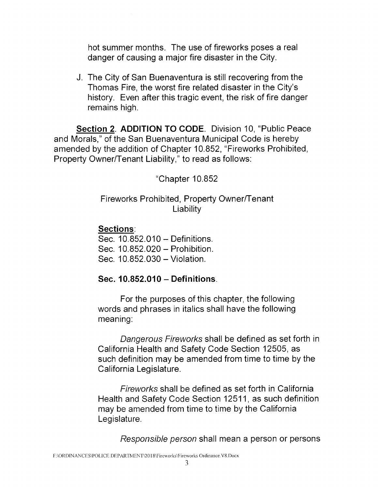hot summer months. The use of fireworks poses a real danger of causing a major fire disaster in the City.

J. The City of San Buenaventura is still recovering from the Thomas Fire, the worst fire related disaster in the City's history. Even after this tragic event, the risk of fire danger remains high.

**Section 2. ADDITION TO CODE.** Division 10, "Public Peace and Morals," of the San Buenaventura Municipal Code is hereby amended by the addition of Chapter 10.852, "Fireworks Prohibited, Property Owner/Tenant Liability," to read as follows:

"Chapter 10.852

## Fireworks Prohibited, Property Owner/Tenant Liability

# **Sections:**

Sec. 10.852.010 - Definitions.

Sec. 10.852.020 - Prohibition.

Sec. 10.852.030 - Violation.

# **Sec. 10.852.010 - Definitions.**

For the purposes of this chapter, the following words and phrases in italics shall have the following meaning:

Dangerous Fireworks shall be defined as set forth in California Health and Safety Code Section 12505, as such definition may be amended from time to time by the California Legislature.

Fireworks shall be defined as set forth in California Health and Safety Code Section 12511, as such definition may be amended from time to time by the California Legislature.

Responsible person shall mean a person or persons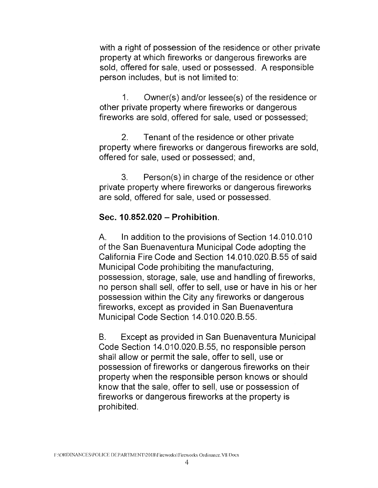with a right of possession of the residence or other private property at which fireworks or dangerous fireworks are sold, offered for sale, used or possessed. A responsible person includes, but is not limited to:

1. Owner(s) and/or lessee(s) of the residence or other private property where fireworks or dangerous fireworks are sold, offered for sale, used or possessed;

2. Tenant of the residence or other private property where fireworks or dangerous fireworks are sold, offered for sale, used or possessed; and,

3. Person(s) in charge of the residence or other private property where fireworks or dangerous fireworks are sold, offered for sale, used or possessed.

#### **Sec. 10.852.020 - Prohibition.**

A. In addition to the provisions of Section 14.010.010 of the San Buenaventura Municipal Code adopting the California Fire Code and Section 14.010.020.8.55 of said Municipal Code prohibiting the manufacturing, possession, storage, sale, use and handling of fireworks, no person shall sell, offer to sell, use or have in his or her possession within the City any fireworks or dangerous fireworks, except as provided in San Buenaventura Municipal Code Section 14.010.020.8.55.

B. Except as provided in San Buenaventura Municipal Code Section 14.010.020.8.55, no responsible person shall allow or permit the sale, offer to sell, use or possession of fireworks or dangerous fireworks on their property when the responsible person knows or should know that the sale, offer to sell, use or possession of fireworks or dangerous fireworks at the property is prohibited.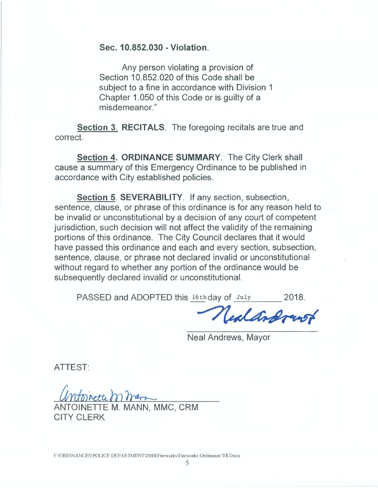**Sec. 10.852.030 - Violation.** 

Any person violating a provision of Section 10.852.020 of this Code shall be subject to a fine in accordance with Division 1 Chapter 1.050 of this Code or is guilty of a misdemeanor."

**Section 3. RECITALS.** The foregoing recitals are true and correct.

**Section 4. ORDINANCE SUMMARY.** The City Clerk shall cause a summary of this Emergency Ordinance to be published in accordance with City established policies.

**Section 5. SEVERABILITY.** If any section, subsection, sentence, clause, or phrase of this ordinance is for any reason held to be invalid or unconstitutional by a decision of any court of competent jurisdiction, such decision will not affect the validity of the remaining portions of this ordinance. The City Council declares that it would have passed this ordinance and each and every section, subsection, sentence, clause, or phrase not declared invalid or unconstitutional without regard to whether any portion of the ordinance would be subsequently declared invalid or unconstitutional.

PASSED and ADOPTED this 16thday of July 2018.<br> **Call And Tunor** 

Neal Andrews, Mayor

ATTEST:

ntoinette mmars

ANTOINETTE M. MANN, MMC, CRM CITY CLERK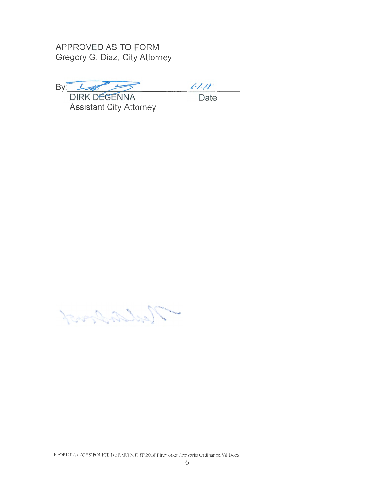**APPROVED AS TO FORM Gregory G. Diaz, City Attorney** 

By: UNK DEGENNA  $\frac{64.16}{\pi}$ 

**Assistant City Attorney** 

and Colorador March